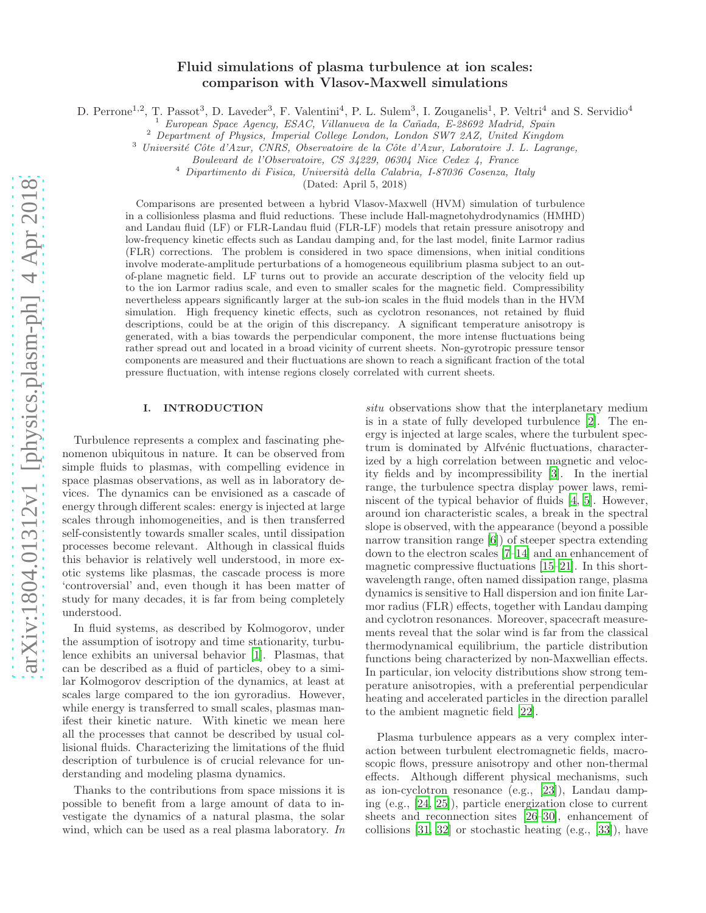# Fluid simulations of plasma turbulence at ion scales: comparison with Vlasov-Maxwell simulations

D. Perrone<sup>1,2</sup>, T. Passot<sup>3</sup>, D. Laveder<sup>3</sup>, F. Valentini<sup>4</sup>, P. L. Sulem<sup>3</sup>, I. Zouganelis<sup>1</sup>, P. Veltri<sup>4</sup> and S. Servidio<sup>4</sup>

<sup>1</sup> *European Space Agency, ESAC, Villanueva de la Ca˜nada, E-28692 Madrid, Spain*

<sup>2</sup> *Department of Physics, Imperial College London, London SW7 2AZ, United Kingdom*

<sup>3</sup> Université Côte d'Azur, CNRS, Observatoire de la Côte d'Azur, Laboratoire J. L. Lagrange,

*Boulevard de l'Observatoire, CS 34229, 06304 Nice Cedex 4, France*

<sup>4</sup> *Dipartimento di Fisica, Universit`a della Calabria, I-87036 Cosenza, Italy*

(Dated: April 5, 2018)

Comparisons are presented between a hybrid Vlasov-Maxwell (HVM) simulation of turbulence in a collisionless plasma and fluid reductions. These include Hall-magnetohydrodynamics (HMHD) and Landau fluid (LF) or FLR-Landau fluid (FLR-LF) models that retain pressure anisotropy and low-frequency kinetic effects such as Landau damping and, for the last model, finite Larmor radius (FLR) corrections. The problem is considered in two space dimensions, when initial conditions involve moderate-amplitude perturbations of a homogeneous equilibrium plasma subject to an outof-plane magnetic field. LF turns out to provide an accurate description of the velocity field up to the ion Larmor radius scale, and even to smaller scales for the magnetic field. Compressibility nevertheless appears significantly larger at the sub-ion scales in the fluid models than in the HVM simulation. High frequency kinetic effects, such as cyclotron resonances, not retained by fluid descriptions, could be at the origin of this discrepancy. A significant temperature anisotropy is generated, with a bias towards the perpendicular component, the more intense fluctuations being rather spread out and located in a broad vicinity of current sheets. Non-gyrotropic pressure tensor components are measured and their fluctuations are shown to reach a significant fraction of the total pressure fluctuation, with intense regions closely correlated with current sheets.

## I. INTRODUCTION

Turbulence represents a complex and fascinating phenomenon ubiquitous in nature. It can be observed from simple fluids to plasmas, with compelling evidence in space plasmas observations, as well as in laboratory devices. The dynamics can be envisioned as a cascade of energy through different scales: energy is injected at large scales through inhomogeneities, and is then transferred self-consistently towards smaller scales, until dissipation processes become relevant. Although in classical fluids this behavior is relatively well understood, in more exotic systems like plasmas, the cascade process is more 'controversial' and, even though it has been matter of study for many decades, it is far from being completely understood.

In fluid systems, as described by Kolmogorov, under the assumption of isotropy and time stationarity, turbulence exhibits an universal behavior [\[1](#page-12-0)]. Plasmas, that can be described as a fluid of particles, obey to a similar Kolmogorov description of the dynamics, at least at scales large compared to the ion gyroradius. However, while energy is transferred to small scales, plasmas manifest their kinetic nature. With kinetic we mean here all the processes that cannot be described by usual collisional fluids. Characterizing the limitations of the fluid description of turbulence is of crucial relevance for understanding and modeling plasma dynamics.

Thanks to the contributions from space missions it is possible to benefit from a large amount of data to investigate the dynamics of a natural plasma, the solar wind, which can be used as a real plasma laboratory. In

situ observations show that the interplanetary medium is in a state of fully developed turbulence [\[2](#page-12-1)]. The energy is injected at large scales, where the turbulent spectrum is dominated by Alfvénic fluctuations, characterized by a high correlation between magnetic and velocity fields and by incompressibility [\[3](#page-12-2)]. In the inertial range, the turbulence spectra display power laws, reminiscent of the typical behavior of fluids [\[4](#page-12-3), [5\]](#page-12-4). However, around ion characteristic scales, a break in the spectral slope is observed, with the appearance (beyond a possible narrow transition range [\[6](#page-12-5)]) of steeper spectra extending down to the electron scales [\[7](#page-12-6)[–14\]](#page-12-7) and an enhancement of magnetic compressive fluctuations [\[15](#page-12-8)[–21\]](#page-13-0). In this shortwavelength range, often named dissipation range, plasma dynamics is sensitive to Hall dispersion and ion finite Larmor radius (FLR) effects, together with Landau damping and cyclotron resonances. Moreover, spacecraft measurements reveal that the solar wind is far from the classical thermodynamical equilibrium, the particle distribution functions being characterized by non-Maxwellian effects. In particular, ion velocity distributions show strong temperature anisotropies, with a preferential perpendicular heating and accelerated particles in the direction parallel to the ambient magnetic field [\[22\]](#page-13-1).

Plasma turbulence appears as a very complex interaction between turbulent electromagnetic fields, macroscopic flows, pressure anisotropy and other non-thermal effects. Although different physical mechanisms, such as ion-cyclotron resonance (e.g., [\[23](#page-13-2)]), Landau damping (e.g., [\[24,](#page-13-3) [25](#page-13-4)]), particle energization close to current sheets and reconnection sites [\[26](#page-13-5)[–30](#page-13-6)], enhancement of collisions [\[31,](#page-13-7) [32](#page-13-8)] or stochastic heating (e.g., [\[33](#page-13-9)]), have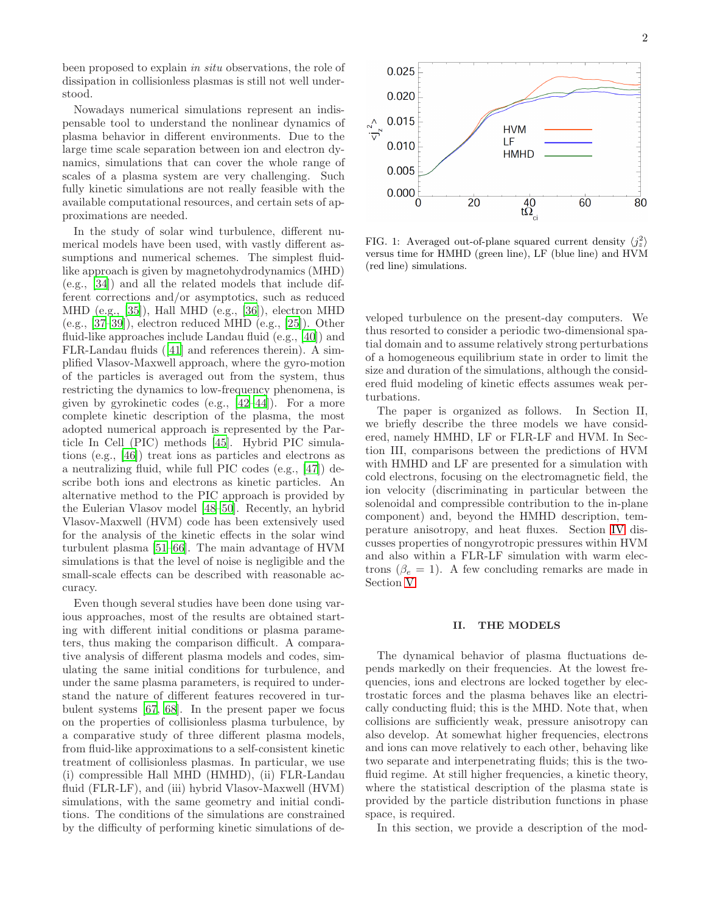been proposed to explain in situ observations, the role of dissipation in collisionless plasmas is still not well understood.

Nowadays numerical simulations represent an indispensable tool to understand the nonlinear dynamics of plasma behavior in different environments. Due to the large time scale separation between ion and electron dynamics, simulations that can cover the whole range of scales of a plasma system are very challenging. Such fully kinetic simulations are not really feasible with the available computational resources, and certain sets of approximations are needed.

In the study of solar wind turbulence, different numerical models have been used, with vastly different assumptions and numerical schemes. The simplest fluidlike approach is given by magnetohydrodynamics (MHD) (e.g., [\[34\]](#page-13-10)) and all the related models that include different corrections and/or asymptotics, such as reduced MHD (e.g., [\[35\]](#page-13-11)), Hall MHD (e.g., [\[36\]](#page-13-12)), electron MHD (e.g., [\[37](#page-13-13)[–39\]](#page-13-14)), electron reduced MHD (e.g., [\[25\]](#page-13-4)). Other fluid-like approaches include Landau fluid (e.g., [\[40\]](#page-13-15)) and FLR-Landau fluids ([\[41\]](#page-13-16) and references therein). A simplified Vlasov-Maxwell approach, where the gyro-motion of the particles is averaged out from the system, thus restricting the dynamics to low-frequency phenomena, is given by gyrokinetic codes (e.g., [\[42](#page-13-17)[–44](#page-13-18)]). For a more complete kinetic description of the plasma, the most adopted numerical approach is represented by the Particle In Cell (PIC) methods [\[45\]](#page-13-19). Hybrid PIC simulations (e.g., [\[46\]](#page-13-20)) treat ions as particles and electrons as a neutralizing fluid, while full PIC codes (e.g., [\[47\]](#page-13-21)) describe both ions and electrons as kinetic particles. An alternative method to the PIC approach is provided by the Eulerian Vlasov model [\[48](#page-13-22)[–50](#page-13-23)]. Recently, an hybrid Vlasov-Maxwell (HVM) code has been extensively used for the analysis of the kinetic effects in the solar wind turbulent plasma [\[51](#page-13-24)[–66\]](#page-13-25). The main advantage of HVM simulations is that the level of noise is negligible and the small-scale effects can be described with reasonable accuracy.

Even though several studies have been done using various approaches, most of the results are obtained starting with different initial conditions or plasma parameters, thus making the comparison difficult. A comparative analysis of different plasma models and codes, simulating the same initial conditions for turbulence, and under the same plasma parameters, is required to understand the nature of different features recovered in turbulent systems [\[67](#page-13-26), [68](#page-13-27)]. In the present paper we focus on the properties of collisionless plasma turbulence, by a comparative study of three different plasma models, from fluid-like approximations to a self-consistent kinetic treatment of collisionless plasmas. In particular, we use (i) compressible Hall MHD (HMHD), (ii) FLR-Landau fluid (FLR-LF), and (iii) hybrid Vlasov-Maxwell (HVM) simulations, with the same geometry and initial conditions. The conditions of the simulations are constrained by the difficulty of performing kinetic simulations of de-



<span id="page-1-0"></span>FIG. 1: Averaged out-of-plane squared current density  $\langle j_z^2 \rangle$ versus time for HMHD (green line), LF (blue line) and HVM (red line) simulations.

veloped turbulence on the present-day computers. We thus resorted to consider a periodic two-dimensional spatial domain and to assume relatively strong perturbations of a homogeneous equilibrium state in order to limit the size and duration of the simulations, although the considered fluid modeling of kinetic effects assumes weak perturbations.

The paper is organized as follows. In Section II, we briefly describe the three models we have considered, namely HMHD, LF or FLR-LF and HVM. In Section III, comparisons between the predictions of HVM with HMHD and LF are presented for a simulation with cold electrons, focusing on the electromagnetic field, the ion velocity (discriminating in particular between the solenoidal and compressible contribution to the in-plane component) and, beyond the HMHD description, temperature anisotropy, and heat fluxes. Section [IV](#page-9-0) discusses properties of nongyrotropic pressures within HVM and also within a FLR-LF simulation with warm electrons ( $\beta_e = 1$ ). A few concluding remarks are made in Section [V.](#page-12-9)

## <span id="page-1-1"></span>II. THE MODELS

The dynamical behavior of plasma fluctuations depends markedly on their frequencies. At the lowest frequencies, ions and electrons are locked together by electrostatic forces and the plasma behaves like an electrically conducting fluid; this is the MHD. Note that, when collisions are sufficiently weak, pressure anisotropy can also develop. At somewhat higher frequencies, electrons and ions can move relatively to each other, behaving like two separate and interpenetrating fluids; this is the twofluid regime. At still higher frequencies, a kinetic theory, where the statistical description of the plasma state is provided by the particle distribution functions in phase space, is required.

In this section, we provide a description of the mod-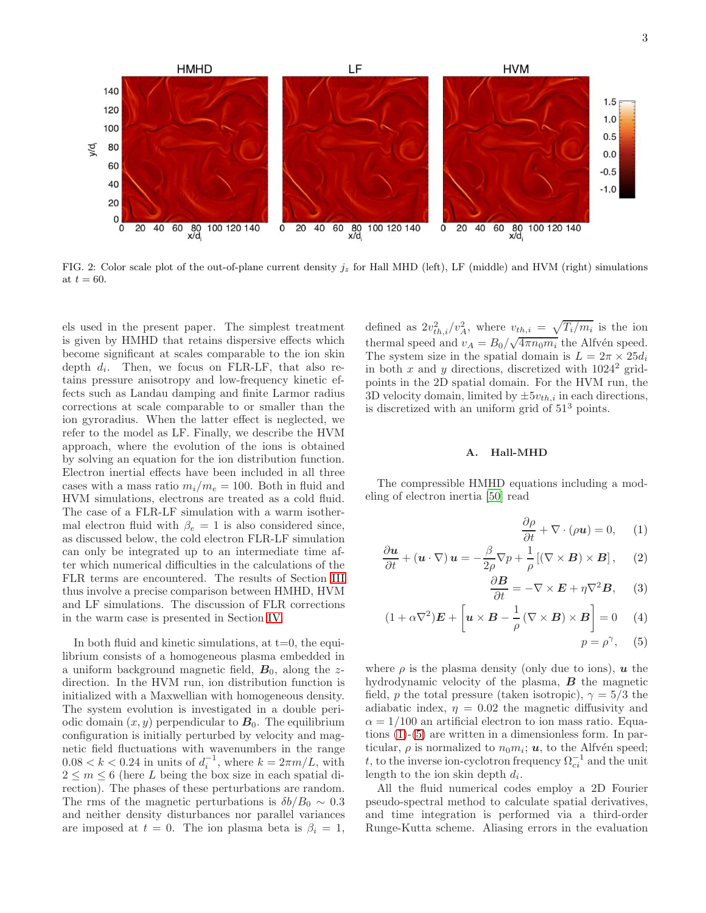

<span id="page-2-1"></span>FIG. 2: Color scale plot of the out-of-plane current density  $j_z$  for Hall MHD (left), LF (middle) and HVM (right) simulations at  $t = 60$ .

els used in the present paper. The simplest treatment is given by HMHD that retains dispersive effects which become significant at scales comparable to the ion skin depth  $d_i$ . Then, we focus on FLR-LF, that also retains pressure anisotropy and low-frequency kinetic effects such as Landau damping and finite Larmor radius corrections at scale comparable to or smaller than the ion gyroradius. When the latter effect is neglected, we refer to the model as LF. Finally, we describe the HVM approach, where the evolution of the ions is obtained by solving an equation for the ion distribution function. Electron inertial effects have been included in all three cases with a mass ratio  $m_i/m_e = 100$ . Both in fluid and HVM simulations, electrons are treated as a cold fluid. The case of a FLR-LF simulation with a warm isothermal electron fluid with  $\beta_e = 1$  is also considered since, as discussed below, the cold electron FLR-LF simulation can only be integrated up to an intermediate time after which numerical difficulties in the calculations of the FLR terms are encountered. The results of Section [III](#page-4-0) thus involve a precise comparison between HMHD, HVM and LF simulations. The discussion of FLR corrections in the warm case is presented in Section [IV.](#page-9-0)

In both fluid and kinetic simulations, at  $t=0$ , the equilibrium consists of a homogeneous plasma embedded in a uniform background magnetic field,  $B_0$ , along the zdirection. In the HVM run, ion distribution function is initialized with a Maxwellian with homogeneous density. The system evolution is investigated in a double periodic domain  $(x, y)$  perpendicular to  $B_0$ . The equilibrium configuration is initially perturbed by velocity and magnetic field fluctuations with wavenumbers in the range  $0.08 < k < 0.24$  in units of  $d_i^{-1}$ , where  $k = 2\pi m/L$ , with  $2 \leq m \leq 6$  (here L being the box size in each spatial direction). The phases of these perturbations are random. The rms of the magnetic perturbations is  $\delta b/B_0 \sim 0.3$ and neither density disturbances nor parallel variances are imposed at  $t = 0$ . The ion plasma beta is  $\beta_i = 1$ ,

defined as  $2v_{th,i}^2/v_A^2$ , where  $v_{th,i} = \sqrt{T_i/m_i}$  is the ion thermal speed and  $v_A = B_0 / \sqrt{4 \pi n_0 m_i}$  the Alfvén speed. The system size in the spatial domain is  $L = 2\pi \times 25d_i$ in both x and y directions, discretized with  $1024^2$  gridpoints in the 2D spatial domain. For the HVM run, the 3D velocity domain, limited by  $\pm 5v_{th,i}$  in each directions, is discretized with an uniform grid of  $51<sup>3</sup>$  points.

#### A. Hall-MHD

The compressible HMHD equations including a modeling of electron inertia [\[50](#page-13-23)] read

<span id="page-2-0"></span>
$$
\frac{\partial \rho}{\partial t} + \nabla \cdot (\rho \mathbf{u}) = 0, \qquad (1)
$$

$$
\frac{\partial \boldsymbol{u}}{\partial t} + (\boldsymbol{u} \cdot \nabla) \, \boldsymbol{u} = -\frac{\beta}{2\rho} \nabla p + \frac{1}{\rho} \left[ (\nabla \times \boldsymbol{B}) \times \boldsymbol{B} \right], \qquad (2)
$$

$$
\frac{\partial \boldsymbol{B}}{\partial t} = -\nabla \times \boldsymbol{E} + \eta \nabla^2 \boldsymbol{B}, \quad (3)
$$

$$
(1 + \alpha \nabla^2) \boldsymbol{E} + \left[ \boldsymbol{u} \times \boldsymbol{B} - \frac{1}{\rho} (\nabla \times \boldsymbol{B}) \times \boldsymbol{B} \right] = 0 \quad (4)
$$

$$
p = \rho^{\gamma}, \quad (5)
$$

where  $\rho$  is the plasma density (only due to ions),  $\boldsymbol{u}$  the hydrodynamic velocity of the plasma,  $\boldsymbol{B}$  the magnetic field, p the total pressure (taken isotropic),  $\gamma = 5/3$  the adiabatic index,  $\eta = 0.02$  the magnetic diffusivity and  $\alpha = 1/100$  an artificial electron to ion mass ratio. Equations [\(1\)](#page-2-0)-[\(5\)](#page-2-0) are written in a dimensionless form. In particular,  $\rho$  is normalized to  $n_0 m_i$ ; **u**, to the Alfvén speed; t, to the inverse ion-cyclotron frequency  $\Omega_{ci}^{-1}$  and the unit length to the ion skin depth  $d_i$ .

All the fluid numerical codes employ a 2D Fourier pseudo-spectral method to calculate spatial derivatives, and time integration is performed via a third-order Runge-Kutta scheme. Aliasing errors in the evaluation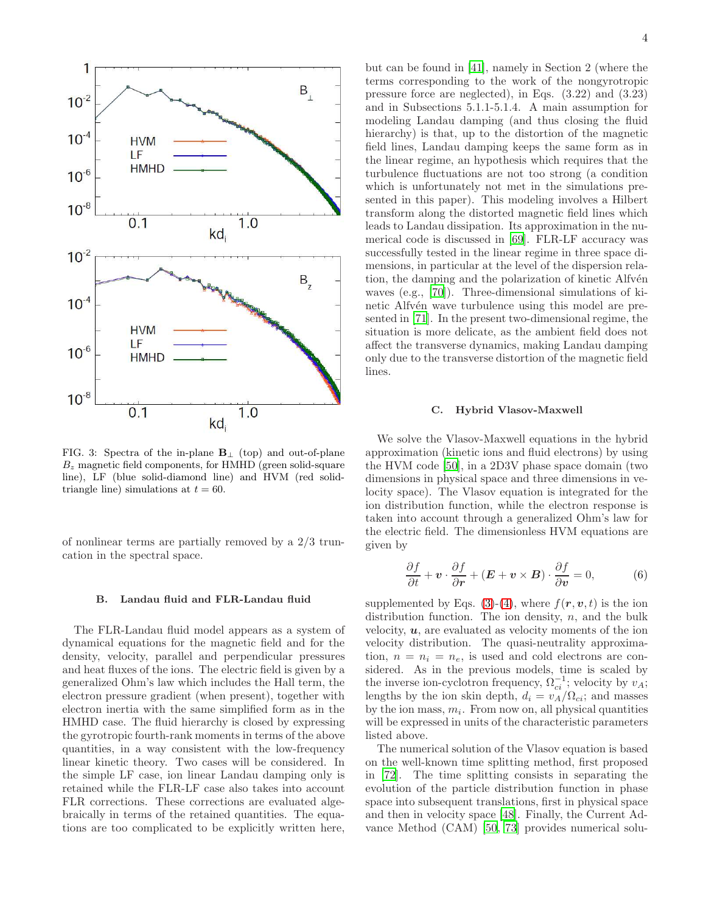

<span id="page-3-0"></span>FIG. 3: Spectra of the in-plane  $B_{\perp}$  (top) and out-of-plane  $B<sub>z</sub>$  magnetic field components, for HMHD (green solid-square line), LF (blue solid-diamond line) and HVM (red solidtriangle line) simulations at  $t = 60$ .

of nonlinear terms are partially removed by a 2/3 truncation in the spectral space.

#### B. Landau fluid and FLR-Landau fluid

The FLR-Landau fluid model appears as a system of dynamical equations for the magnetic field and for the density, velocity, parallel and perpendicular pressures and heat fluxes of the ions. The electric field is given by a generalized Ohm's law which includes the Hall term, the electron pressure gradient (when present), together with electron inertia with the same simplified form as in the HMHD case. The fluid hierarchy is closed by expressing the gyrotropic fourth-rank moments in terms of the above quantities, in a way consistent with the low-frequency linear kinetic theory. Two cases will be considered. In the simple LF case, ion linear Landau damping only is retained while the FLR-LF case also takes into account FLR corrections. These corrections are evaluated algebraically in terms of the retained quantities. The equations are too complicated to be explicitly written here,

but can be found in [\[41\]](#page-13-16), namely in Section 2 (where the terms corresponding to the work of the nongyrotropic pressure force are neglected), in Eqs. (3.22) and (3.23) and in Subsections 5.1.1-5.1.4. A main assumption for modeling Landau damping (and thus closing the fluid hierarchy) is that, up to the distortion of the magnetic field lines, Landau damping keeps the same form as in the linear regime, an hypothesis which requires that the turbulence fluctuations are not too strong (a condition which is unfortunately not met in the simulations presented in this paper). This modeling involves a Hilbert transform along the distorted magnetic field lines which leads to Landau dissipation. Its approximation in the numerical code is discussed in [\[69](#page-13-28)]. FLR-LF accuracy was successfully tested in the linear regime in three space dimensions, in particular at the level of the dispersion relation, the damping and the polarization of kinetic Alfvén waves (e.g., [\[70\]](#page-13-29)). Three-dimensional simulations of kinetic Alfvén wave turbulence using this model are presented in [\[71](#page-13-30)]. In the present two-dimensional regime, the situation is more delicate, as the ambient field does not affect the transverse dynamics, making Landau damping only due to the transverse distortion of the magnetic field lines.

# C. Hybrid Vlasov-Maxwell

We solve the Vlasov-Maxwell equations in the hybrid approximation (kinetic ions and fluid electrons) by using the HVM code [\[50\]](#page-13-23), in a 2D3V phase space domain (two dimensions in physical space and three dimensions in velocity space). The Vlasov equation is integrated for the ion distribution function, while the electron response is taken into account through a generalized Ohm's law for the electric field. The dimensionless HVM equations are given by

$$
\frac{\partial f}{\partial t} + \boldsymbol{v} \cdot \frac{\partial f}{\partial \boldsymbol{r}} + (\boldsymbol{E} + \boldsymbol{v} \times \boldsymbol{B}) \cdot \frac{\partial f}{\partial \boldsymbol{v}} = 0, \tag{6}
$$

supplemented by Eqs. [\(3\)](#page-2-0)-[\(4\)](#page-2-0), where  $f(\mathbf{r}, \mathbf{v}, t)$  is the ion distribution function. The ion density,  $n$ , and the bulk velocity,  $\boldsymbol{u}$ , are evaluated as velocity moments of the ion velocity distribution. The quasi-neutrality approximation,  $n = n_i = n_e$ , is used and cold electrons are considered. As in the previous models, time is scaled by the inverse ion-cyclotron frequency,  $\Omega_{ci}^{-1}$ ; velocity by  $v_A$ ; lengths by the ion skin depth,  $d_i = v_A/\Omega_{ci}$ ; and masses by the ion mass,  $m_i$ . From now on, all physical quantities will be expressed in units of the characteristic parameters listed above.

The numerical solution of the Vlasov equation is based on the well-known time splitting method, first proposed in [\[72](#page-13-31)]. The time splitting consists in separating the evolution of the particle distribution function in phase space into subsequent translations, first in physical space and then in velocity space [\[48\]](#page-13-22). Finally, the Current Advance Method (CAM) [\[50](#page-13-23), [73](#page-14-0)] provides numerical solu-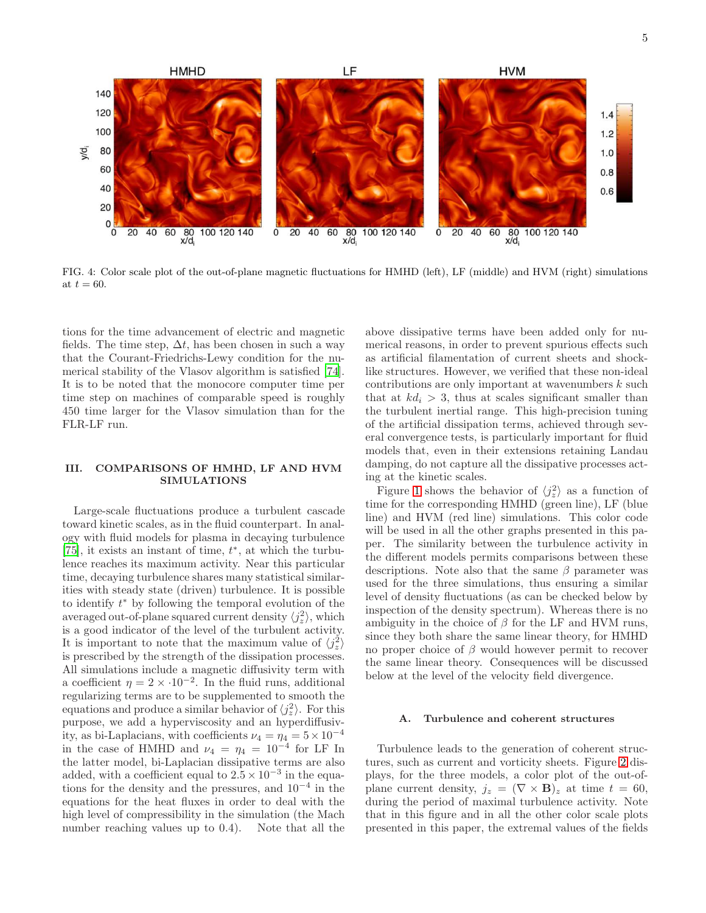

<span id="page-4-1"></span>FIG. 4: Color scale plot of the out-of-plane magnetic fluctuations for HMHD (left), LF (middle) and HVM (right) simulations at  $t = 60$ .

tions for the time advancement of electric and magnetic fields. The time step,  $\Delta t$ , has been chosen in such a way that the Courant-Friedrichs-Lewy condition for the numerical stability of the Vlasov algorithm is satisfied [\[74\]](#page-14-1). It is to be noted that the monocore computer time per time step on machines of comparable speed is roughly 450 time larger for the Vlasov simulation than for the FLR-LF run.

## <span id="page-4-0"></span>III. COMPARISONS OF HMHD, LF AND HVM SIMULATIONS

Large-scale fluctuations produce a turbulent cascade toward kinetic scales, as in the fluid counterpart. In analogy with fluid models for plasma in decaying turbulence [\[75\]](#page-14-2), it exists an instant of time,  $t^*$ , at which the turbulence reaches its maximum activity. Near this particular time, decaying turbulence shares many statistical similarities with steady state (driven) turbulence. It is possible to identify  $t^*$  by following the temporal evolution of the averaged out-of-plane squared current density  $\langle j_z^2 \rangle$ , which is a good indicator of the level of the turbulent activity. It is important to note that the maximum value of  $\langle j_z^2 \rangle$ is prescribed by the strength of the dissipation processes. All simulations include a magnetic diffusivity term with a coefficient  $\eta = 2 \times 10^{-2}$ . In the fluid runs, additional regularizing terms are to be supplemented to smooth the equations and produce a similar behavior of  $\langle j_z^2 \rangle$ . For this purpose, we add a hyperviscosity and an hyperdiffusivity, as bi-Laplacians, with coefficients  $\nu_4 = \eta_4 = 5 \times 10^{-4}$ in the case of HMHD and  $\nu_4 = \eta_4 = 10^{-4}$  for LF In the latter model, bi-Laplacian dissipative terms are also added, with a coefficient equal to  $2.5 \times 10^{-3}$  in the equations for the density and the pressures, and 10−<sup>4</sup> in the equations for the heat fluxes in order to deal with the high level of compressibility in the simulation (the Mach number reaching values up to 0.4). Note that all the

above dissipative terms have been added only for numerical reasons, in order to prevent spurious effects such as artificial filamentation of current sheets and shocklike structures. However, we verified that these non-ideal  $\chi$  contributions are only important at wavenumbers  $k$  such that at  $kd_i > 3$ , thus at scales significant smaller than the turbulent inertial range. This high-precision tuning of the artificial dissipation terms, achieved through several convergence tests, is particularly important for fluid models that, even in their extensions retaining Landau damping, do not capture all the dissipative processes acting at the kinetic scales.

Figure [1](#page-1-0) shows the behavior of  $\langle j_z^2 \rangle$  as a function of time for the corresponding HMHD (green line), LF (blue line) and HVM (red line) simulations. This color code will be used in all the other graphs presented in this paper. The similarity between the turbulence activity in the different models permits comparisons between these descriptions. Note also that the same  $\beta$  parameter was used for the three simulations, thus ensuring a similar level of density fluctuations (as can be checked below by inspection of the density spectrum). Whereas there is no ambiguity in the choice of  $\beta$  for the LF and HVM runs, since they both share the same linear theory, for HMHD no proper choice of  $\beta$  would however permit to recover the same linear theory. Consequences will be discussed below at the level of the velocity field divergence.

#### A. Turbulence and coherent structures

Turbulence leads to the generation of coherent structures, such as current and vorticity sheets. Figure [2](#page-2-1) displays, for the three models, a color plot of the out-ofplane current density,  $j_z = (\nabla \times \mathbf{B})_z$  at time  $t = 60$ , during the period of maximal turbulence activity. Note that in this figure and in all the other color scale plots presented in this paper, the extremal values of the fields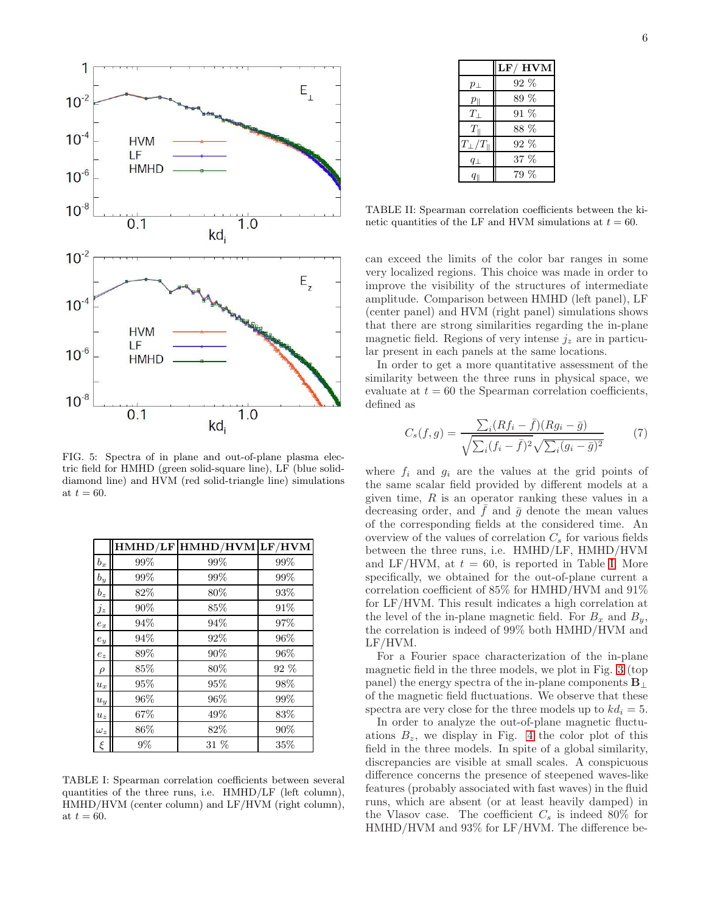

<span id="page-5-1"></span>FIG. 5: Spectra of in plane and out-of-plane plasma electric field for HMHD (green solid-square line), LF (blue soliddiamond line) and HVM (red solid-triangle line) simulations at  $t = 60$ .

|                  |     | HMHD/LF HMHD/HVM LF/HVM |        |
|------------------|-----|-------------------------|--------|
| $b_x$            | 99% | 99%                     | 99%    |
| $\mathfrak{b}_y$ | 99% | 99%                     | 99%    |
| $b_z$            | 82% | 80%                     | 93%    |
| $j_z$            | 90% | 85%                     | 91%    |
| $e_x$            | 94% | 94%                     | 97%    |
| $e_y$            | 94% | 92%                     | 96%    |
| $e_z$            | 89% | 90%                     | 96%    |
| $\rho$           | 85% | 80%                     | 92 %   |
| $u_x$            | 95% | 95%                     | 98%    |
| $u_y$            | 96% | 96%                     | 99%    |
| $u_z$            | 67% | 49%                     | 83\%   |
| $\omega_z$       | 86% | 82%                     | 90%    |
| ξ                | 9%  | 31 %                    | $35\%$ |

<span id="page-5-0"></span>TABLE I: Spearman correlation coefficients between several quantities of the three runs, i.e. HMHD/LF (left column), HMHD/HVM (center column) and LF/HVM (right column), at  $t = 60$ .

|                       | $LF/$ HVM |
|-----------------------|-----------|
| $p_{\perp}$           | $92\%$    |
| $p_{\parallel}$       | 89 %      |
| $T_{\perp}$           | $91\%$    |
| $T_{\rm \parallel}$   | 88 %      |
| $T_\perp/T_\parallel$ | 92 %      |
| $q_{\perp}$           | 37 %      |
| $q_{\parallel}$       | 79 Z      |

<span id="page-5-2"></span>TABLE II: Spearman correlation coefficients between the kinetic quantities of the LF and HVM simulations at  $t = 60$ .

can exceed the limits of the color bar ranges in some very localized regions. This choice was made in order to improve the visibility of the structures of intermediate amplitude. Comparison between HMHD (left panel), LF (center panel) and HVM (right panel) simulations shows that there are strong similarities regarding the in-plane magnetic field. Regions of very intense  $j_z$  are in particular present in each panels at the same locations.

In order to get a more quantitative assessment of the similarity between the three runs in physical space, we evaluate at  $t = 60$  the Spearman correlation coefficients, defined as

$$
C_s(f,g) = \frac{\sum_i (Rf_i - \bar{f})(Rg_i - \bar{g})}{\sqrt{\sum_i (f_i - \bar{f})^2} \sqrt{\sum_i (g_i - \bar{g})^2}} \tag{7}
$$

where  $f_i$  and  $g_i$  are the values at the grid points of the same scalar field provided by different models at a given time,  $R$  is an operator ranking these values in a decreasing order, and  $f$  and  $\bar{g}$  denote the mean values of the corresponding fields at the considered time. An overview of the values of correlation  $C_s$  for various fields between the three runs, i.e. HMHD/LF, HMHD/HVM and LF/HVM, at  $t = 60$ , is reported in Table [I.](#page-5-0) More specifically, we obtained for the out-of-plane current a correlation coefficient of 85% for HMHD/HVM and 91% for LF/HVM. This result indicates a high correlation at the level of the in-plane magnetic field. For  $B_x$  and  $B_y$ , the correlation is indeed of 99% both HMHD/HVM and LF/HVM.

For a Fourier space characterization of the in-plane magnetic field in the three models, we plot in Fig. [3](#page-3-0) (top panel) the energy spectra of the in-plane components  $B_{\perp}$ of the magnetic field fluctuations. We observe that these spectra are very close for the three models up to  $kd_i = 5$ .

In order to analyze the out-of-plane magnetic fluctuations  $B_z$ , we display in Fig. [4](#page-4-1) the color plot of this field in the three models. In spite of a global similarity, discrepancies are visible at small scales. A conspicuous difference concerns the presence of steepened waves-like features (probably associated with fast waves) in the fluid runs, which are absent (or at least heavily damped) in the Vlasov case. The coefficient  $C_s$  is indeed 80% for HMHD/HVM and 93% for LF/HVM. The difference be-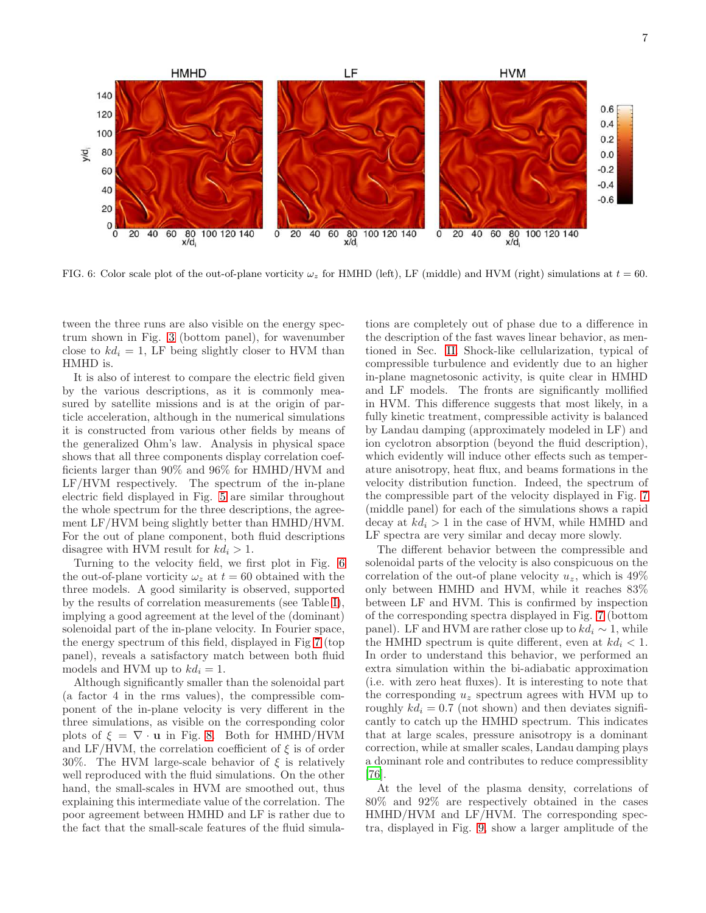**HMHD** LF **HVM** 140  $0.6$ 120  $0.4$ 100  $0.2$ 80 p/  $0.0$  $-0.2$ 60  $-0.4$ 40  $-0.6$ 20 0  $\frac{80}{x/d}$ 40 60  $\frac{80}{x/d}$ 100 120 140 20 40 60  $\frac{80}{x/d}$ 100 120 140  $\overline{0}$ 20 40 60 100 120 140  $\overline{0}$ 20  $\overline{0}$ 

<span id="page-6-0"></span>FIG. 6: Color scale plot of the out-of-plane vorticity  $\omega_z$  for HMHD (left), LF (middle) and HVM (right) simulations at  $t = 60$ .

tween the three runs are also visible on the energy spectrum shown in Fig. [3](#page-3-0) (bottom panel), for wavenumber close to  $kd_i = 1$ , LF being slightly closer to HVM than HMHD is.

It is also of interest to compare the electric field given by the various descriptions, as it is commonly measured by satellite missions and is at the origin of particle acceleration, although in the numerical simulations it is constructed from various other fields by means of the generalized Ohm's law. Analysis in physical space shows that all three components display correlation coefficients larger than 90% and 96% for HMHD/HVM and LF/HVM respectively. The spectrum of the in-plane electric field displayed in Fig. [5](#page-5-1) are similar throughout the whole spectrum for the three descriptions, the agreement LF/HVM being slightly better than HMHD/HVM. For the out of plane component, both fluid descriptions disagree with HVM result for  $kd_i > 1$ .

Turning to the velocity field, we first plot in Fig. [6](#page-6-0) the out-of-plane vorticity  $\omega_z$  at  $t = 60$  obtained with the three models. A good similarity is observed, supported by the results of correlation measurements (see Table [I\)](#page-5-0), implying a good agreement at the level of the (dominant) solenoidal part of the in-plane velocity. In Fourier space, the energy spectrum of this field, displayed in Fig [7](#page-7-0) (top panel), reveals a satisfactory match between both fluid models and HVM up to  $kd_i = 1$ .

Although significantly smaller than the solenoidal part (a factor 4 in the rms values), the compressible component of the in-plane velocity is very different in the three simulations, as visible on the corresponding color plots of  $\xi = \nabla \cdot \mathbf{u}$  in Fig. [8.](#page-8-0) Both for HMHD/HVM and LF/HVM, the correlation coefficient of  $\xi$  is of order 30%. The HVM large-scale behavior of  $\xi$  is relatively well reproduced with the fluid simulations. On the other hand, the small-scales in HVM are smoothed out, thus explaining this intermediate value of the correlation. The poor agreement between HMHD and LF is rather due to the fact that the small-scale features of the fluid simula-

tions are completely out of phase due to a difference in the description of the fast waves linear behavior, as mentioned in Sec. [II.](#page-1-1) Shock-like cellularization, typical of compressible turbulence and evidently due to an higher in-plane magnetosonic activity, is quite clear in HMHD and LF models. The fronts are significantly mollified in HVM. This difference suggests that most likely, in a fully kinetic treatment, compressible activity is balanced by Landau damping (approximately modeled in LF) and ion cyclotron absorption (beyond the fluid description), which evidently will induce other effects such as temperature anisotropy, heat flux, and beams formations in the velocity distribution function. Indeed, the spectrum of the compressible part of the velocity displayed in Fig. [7](#page-7-0) (middle panel) for each of the simulations shows a rapid decay at  $kd_i > 1$  in the case of HVM, while HMHD and LF spectra are very similar and decay more slowly.

The different behavior between the compressible and solenoidal parts of the velocity is also conspicuous on the correlation of the out-of plane velocity  $u_z$ , which is 49% only between HMHD and HVM, while it reaches 83% between LF and HVM. This is confirmed by inspection of the corresponding spectra displayed in Fig. [7](#page-7-0) (bottom panel). LF and HVM are rather close up to  $kd_i \sim 1$ , while the HMHD spectrum is quite different, even at  $kd_i < 1$ . In order to understand this behavior, we performed an extra simulation within the bi-adiabatic approximation (i.e. with zero heat fluxes). It is interesting to note that the corresponding  $u_z$  spectrum agrees with HVM up to roughly  $kd_i = 0.7$  (not shown) and then deviates significantly to catch up the HMHD spectrum. This indicates that at large scales, pressure anisotropy is a dominant correction, while at smaller scales, Landau damping plays a dominant role and contributes to reduce compressiblity [\[76\]](#page-14-3).

At the level of the plasma density, correlations of 80% and 92% are respectively obtained in the cases HMHD/HVM and LF/HVM. The corresponding spectra, displayed in Fig. [9,](#page-8-1) show a larger amplitude of the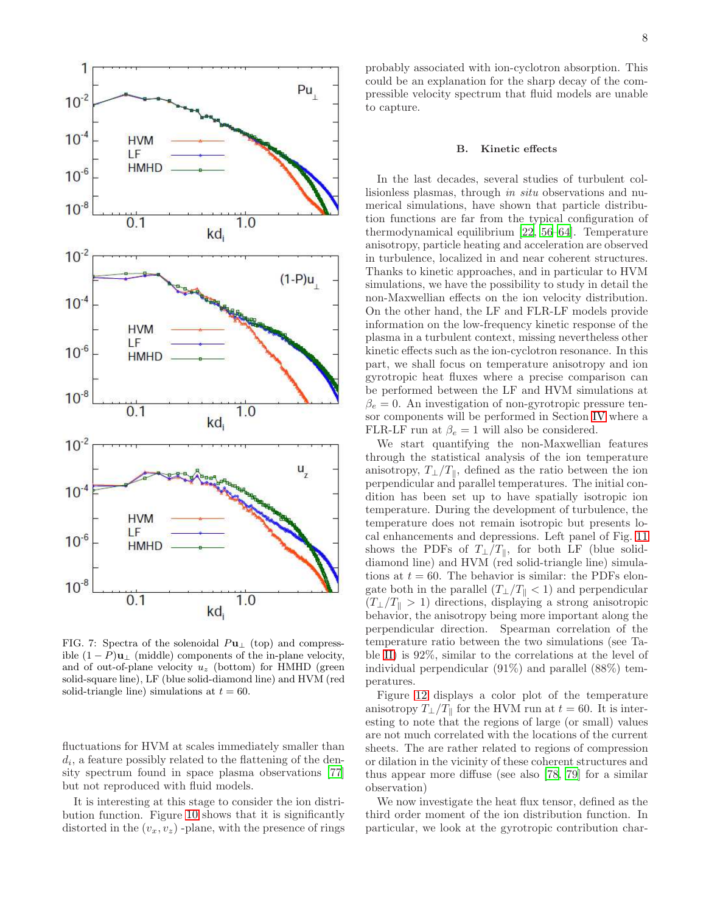

<span id="page-7-0"></span>FIG. 7: Spectra of the solenoidal  $P\mathbf{u}_{\perp}$  (top) and compressible  $(1 - P)$ **u**<sub>⊥</sub> (middle) components of the in-plane velocity, and of out-of-plane velocity  $u<sub>z</sub>$  (bottom) for HMHD (green solid-square line), LF (blue solid-diamond line) and HVM (red solid-triangle line) simulations at  $t = 60$ .

fluctuations for HVM at scales immediately smaller than  $d_i$ , a feature possibly related to the flattening of the density spectrum found in space plasma observations [\[77](#page-14-4)] but not reproduced with fluid models.

It is interesting at this stage to consider the ion distribution function. Figure [10](#page-8-2) shows that it is significantly distorted in the  $(v_x, v_z)$  -plane, with the presence of rings probably associated with ion-cyclotron absorption. This could be an explanation for the sharp decay of the compressible velocity spectrum that fluid models are unable to capture.

#### B. Kinetic effects

In the last decades, several studies of turbulent collisionless plasmas, through in situ observations and numerical simulations, have shown that particle distribution functions are far from the typical configuration of thermodynamical equilibrium [\[22,](#page-13-1) [56](#page-13-32)[–64\]](#page-13-33). Temperature anisotropy, particle heating and acceleration are observed in turbulence, localized in and near coherent structures. Thanks to kinetic approaches, and in particular to HVM simulations, we have the possibility to study in detail the non-Maxwellian effects on the ion velocity distribution. On the other hand, the LF and FLR-LF models provide information on the low-frequency kinetic response of the plasma in a turbulent context, missing nevertheless other kinetic effects such as the ion-cyclotron resonance. In this part, we shall focus on temperature anisotropy and ion gyrotropic heat fluxes where a precise comparison can be performed between the LF and HVM simulations at  $\beta_e = 0$ . An investigation of non-gyrotropic pressure tensor components will be performed in Section [IV](#page-9-0) where a FLR-LF run at  $\beta_e = 1$  will also be considered.

We start quantifying the non-Maxwellian features through the statistical analysis of the ion temperature anisotropy,  $T_{\perp}/T_{\parallel}$ , defined as the ratio between the ion perpendicular and parallel temperatures. The initial condition has been set up to have spatially isotropic ion temperature. During the development of turbulence, the temperature does not remain isotropic but presents local enhancements and depressions. Left panel of Fig. [11](#page-9-1) shows the PDFs of  $T_{\perp}/T_{\parallel}$ , for both LF (blue soliddiamond line) and HVM (red solid-triangle line) simulations at  $t = 60$ . The behavior is similar: the PDFs elongate both in the parallel  $(T_{\perp}/T_{\parallel} < 1)$  and perpendicular  $(T_\perp/T_\parallel > 1)$  directions, displaying a strong anisotropic behavior, the anisotropy being more important along the perpendicular direction. Spearman correlation of the temperature ratio between the two simulations (see Table [II\)](#page-5-2) is 92%, similar to the correlations at the level of individual perpendicular (91%) and parallel (88%) temperatures.

Figure [12](#page-9-2) displays a color plot of the temperature anisotropy  $T_{\perp}/T_{\parallel}$  for the HVM run at  $t = 60$ . It is interesting to note that the regions of large (or small) values are not much correlated with the locations of the current sheets. The are rather related to regions of compression or dilation in the vicinity of these coherent structures and thus appear more diffuse (see also [\[78,](#page-14-5) [79](#page-14-6)] for a similar observation)

We now investigate the heat flux tensor, defined as the third order moment of the ion distribution function. In particular, we look at the gyrotropic contribution char-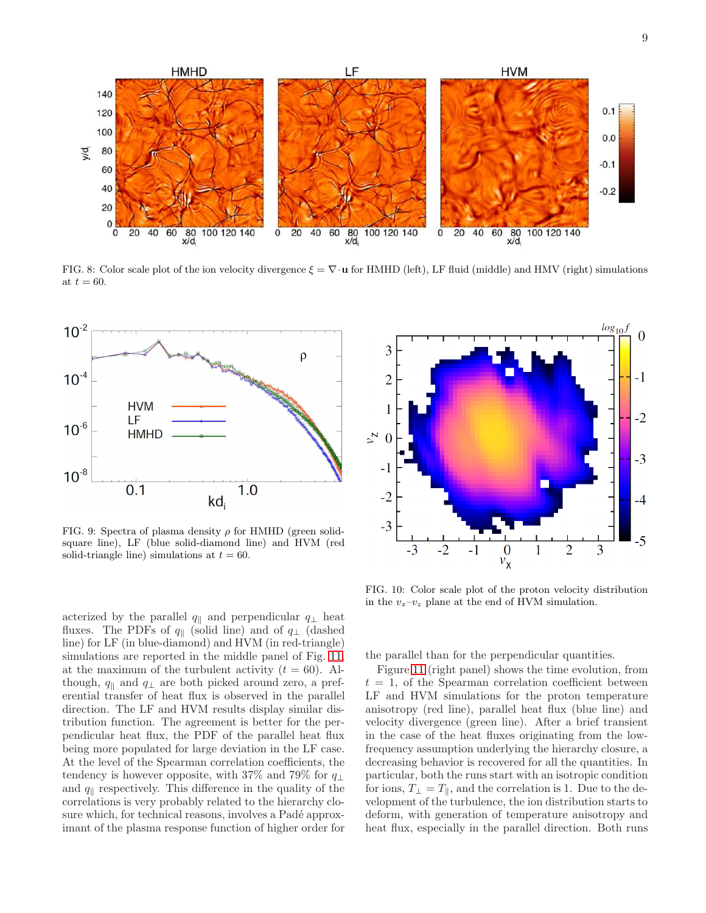

<span id="page-8-0"></span>FIG. 8: Color scale plot of the ion velocity divergence  $\xi = \nabla \cdot \mathbf{u}$  for HMHD (left), LF fluid (middle) and HMV (right) simulations at  $t = 60$ .



<span id="page-8-1"></span>FIG. 9: Spectra of plasma density  $\rho$  for HMHD (green solidsquare line), LF (blue solid-diamond line) and HVM (red solid-triangle line) simulations at  $t = 60$ .

acterized by the parallel  $q_{\parallel}$  and perpendicular  $q_{\perp}$  heat fluxes. The PDFs of  $q_{\parallel}$  (solid line) and of  $q_{\perp}$  (dashed line) for LF (in blue-diamond) and HVM (in red-triangle) simulations are reported in the middle panel of Fig. [11,](#page-9-1) at the maximum of the turbulent activity  $(t = 60)$ . Although,  $q_{\parallel}$  and  $q_{\perp}$  are both picked around zero, a preferential transfer of heat flux is observed in the parallel direction. The LF and HVM results display similar distribution function. The agreement is better for the perpendicular heat flux, the PDF of the parallel heat flux being more populated for large deviation in the LF case. At the level of the Spearman correlation coefficients, the tendency is however opposite, with 37% and 79% for  $q_{\perp}$ and  $q_{\parallel}$  respectively. This difference in the quality of the correlations is very probably related to the hierarchy closure which, for technical reasons, involves a Padé approximant of the plasma response function of higher order for



<span id="page-8-2"></span>FIG. 10: Color scale plot of the proton velocity distribution in the  $v_x-v_z$  plane at the end of HVM simulation.

the parallel than for the perpendicular quantities.

Figure [11](#page-9-1) (right panel) shows the time evolution, from  $t = 1$ , of the Spearman correlation coefficient between LF and HVM simulations for the proton temperature anisotropy (red line), parallel heat flux (blue line) and velocity divergence (green line). After a brief transient in the case of the heat fluxes originating from the lowfrequency assumption underlying the hierarchy closure, a decreasing behavior is recovered for all the quantities. In particular, both the runs start with an isotropic condition for ions,  $T_{\perp} = T_{\parallel}$ , and the correlation is 1. Due to the development of the turbulence, the ion distribution starts to deform, with generation of temperature anisotropy and heat flux, especially in the parallel direction. Both runs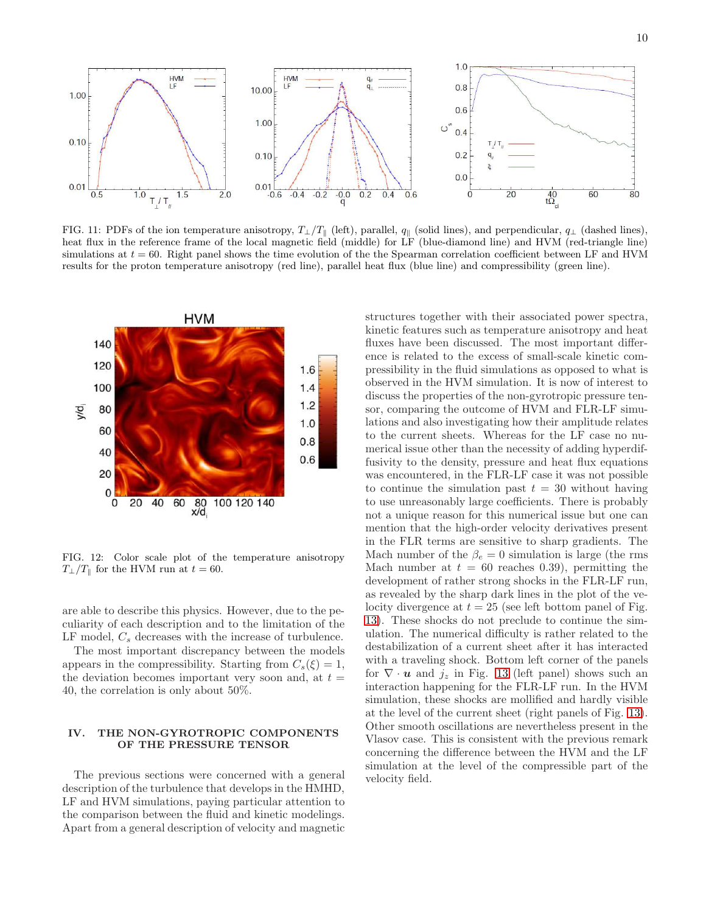

<span id="page-9-1"></span>FIG. 11: PDFs of the ion temperature anisotropy,  $T_{\perp}/T_{\parallel}$  (left), parallel,  $q_{\parallel}$  (solid lines), and perpendicular,  $q_{\perp}$  (dashed lines), heat flux in the reference frame of the local magnetic field (middle) for LF (blue-diamond line) and HVM (red-triangle line) simulations at  $t = 60$ . Right panel shows the time evolution of the the Spearman correlation coefficient between LF and HVM results for the proton temperature anisotropy (red line), parallel heat flux (blue line) and compressibility (green line).



<span id="page-9-2"></span>FIG. 12: Color scale plot of the temperature anisotropy  $T_{\perp}/T_{\parallel}$  for the HVM run at  $t = 60$ .

are able to describe this physics. However, due to the peculiarity of each description and to the limitation of the LF model,  $C_s$  decreases with the increase of turbulence.

The most important discrepancy between the models appears in the compressibility. Starting from  $C_s(\xi) = 1$ , the deviation becomes important very soon and, at  $t =$ 40, the correlation is only about 50%.

### <span id="page-9-0"></span>IV. THE NON-GYROTROPIC COMPONENTS OF THE PRESSURE TENSOR

The previous sections were concerned with a general description of the turbulence that develops in the HMHD, LF and HVM simulations, paying particular attention to the comparison between the fluid and kinetic modelings. Apart from a general description of velocity and magnetic

structures together with their associated power spectra, kinetic features such as temperature anisotropy and heat fluxes have been discussed. The most important difference is related to the excess of small-scale kinetic compressibility in the fluid simulations as opposed to what is observed in the HVM simulation. It is now of interest to discuss the properties of the non-gyrotropic pressure tensor, comparing the outcome of HVM and FLR-LF simulations and also investigating how their amplitude relates to the current sheets. Whereas for the LF case no numerical issue other than the necessity of adding hyperdiffusivity to the density, pressure and heat flux equations was encountered, in the FLR-LF case it was not possible to continue the simulation past  $t = 30$  without having to use unreasonably large coefficients. There is probably not a unique reason for this numerical issue but one can mention that the high-order velocity derivatives present in the FLR terms are sensitive to sharp gradients. The Mach number of the  $\beta_e = 0$  simulation is large (the rms Mach number at  $t = 60$  reaches 0.39), permitting the development of rather strong shocks in the FLR-LF run, as revealed by the sharp dark lines in the plot of the velocity divergence at  $t = 25$  (see left bottom panel of Fig. [13\)](#page-10-0). These shocks do not preclude to continue the simulation. The numerical difficulty is rather related to the destabilization of a current sheet after it has interacted with a traveling shock. Bottom left corner of the panels for  $\nabla \cdot \mathbf{u}$  and  $j_z$  in Fig. [13](#page-10-0) (left panel) shows such an interaction happening for the FLR-LF run. In the HVM simulation, these shocks are mollified and hardly visible at the level of the current sheet (right panels of Fig. [13\)](#page-10-0). Other smooth oscillations are nevertheless present in the Vlasov case. This is consistent with the previous remark concerning the difference between the HVM and the LF simulation at the level of the compressible part of the velocity field.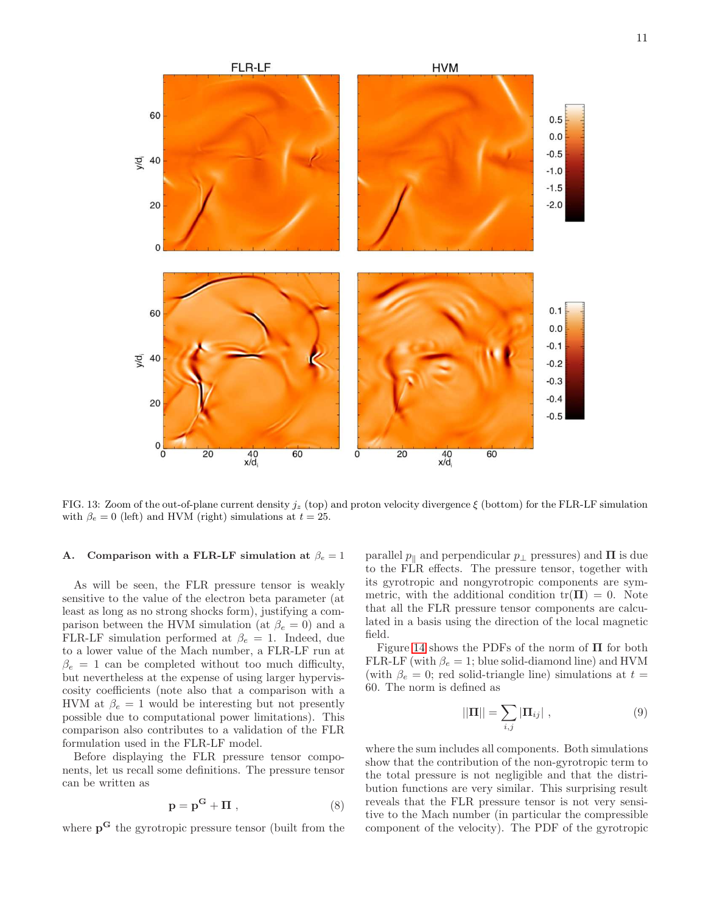

<span id="page-10-0"></span>FIG. 13: Zoom of the out-of-plane current density  $j_z$  (top) and proton velocity divergence  $\xi$  (bottom) for the FLR-LF simulation with  $\beta_e = 0$  (left) and HVM (right) simulations at  $t = 25$ .

### A. Comparison with a FLR-LF simulation at  $\beta_e = 1$

As will be seen, the FLR pressure tensor is weakly sensitive to the value of the electron beta parameter (at least as long as no strong shocks form), justifying a comparison between the HVM simulation (at  $\beta_e = 0$ ) and a FLR-LF simulation performed at  $\beta_e = 1$ . Indeed, due to a lower value of the Mach number, a FLR-LF run at  $\beta_e = 1$  can be completed without too much difficulty, but nevertheless at the expense of using larger hyperviscosity coefficients (note also that a comparison with a HVM at  $\beta_e = 1$  would be interesting but not presently possible due to computational power limitations). This comparison also contributes to a validation of the FLR formulation used in the FLR-LF model.

Before displaying the FLR pressure tensor components, let us recall some definitions. The pressure tensor can be written as

$$
\mathbf{p} = \mathbf{p}^{\mathbf{G}} + \mathbf{\Pi} \tag{8}
$$

where  $p^G$  the gyrotropic pressure tensor (built from the

parallel  $p_{\parallel}$  and perpendicular  $p_{\perp}$  pressures) and  $\Pi$  is due to the FLR effects. The pressure tensor, together with its gyrotropic and nongyrotropic components are symmetric, with the additional condition  $tr(\mathbf{\Pi}) = 0$ . Note that all the FLR pressure tensor components are calculated in a basis using the direction of the local magnetic field.

Figure [14](#page-11-0) shows the PDFs of the norm of  $\Pi$  for both FLR-LF (with  $\beta_e = 1$ ; blue solid-diamond line) and HVM (with  $\beta_e = 0$ ; red solid-triangle line) simulations at  $t =$ 60. The norm is defined as

$$
||\Pi|| = \sum_{i,j} |\Pi_{ij}| \tag{9}
$$

where the sum includes all components. Both simulations show that the contribution of the non-gyrotropic term to the total pressure is not negligible and that the distribution functions are very similar. This surprising result reveals that the FLR pressure tensor is not very sensitive to the Mach number (in particular the compressible component of the velocity). The PDF of the gyrotropic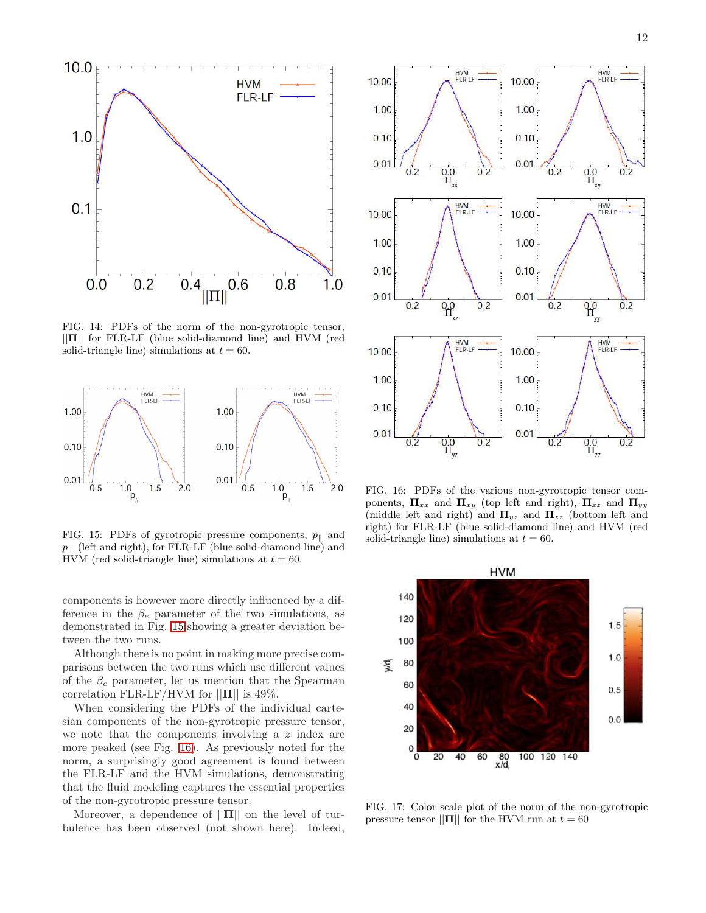

<span id="page-11-0"></span>FIG. 14: PDFs of the norm of the non-gyrotropic tensor, ||Π|| for FLR-LF (blue solid-diamond line) and HVM (red solid-triangle line) simulations at  $t = 60$ .



<span id="page-11-1"></span>FIG. 15: PDFs of gyrotropic pressure components,  $p_{\parallel}$  and  $p_{\perp}$  (left and right), for FLR-LF (blue solid-diamond line) and HVM (red solid-triangle line) simulations at  $t = 60$ .

components is however more directly influenced by a difference in the  $\beta_e$  parameter of the two simulations, as demonstrated in Fig. [15](#page-11-1) showing a greater deviation between the two runs.

Although there is no point in making more precise comparisons between the two runs which use different values of the  $\beta_e$  parameter, let us mention that the Spearman correlation FLR-LF/HVM for  $||\Pi||$  is 49%.

When considering the PDFs of the individual cartesian components of the non-gyrotropic pressure tensor, we note that the components involving a z index are more peaked (see Fig. [16\)](#page-11-2). As previously noted for the norm, a surprisingly good agreement is found between the FLR-LF and the HVM simulations, demonstrating that the fluid modeling captures the essential properties of the non-gyrotropic pressure tensor.

Moreover, a dependence of  $||\Pi||$  on the level of turbulence has been observed (not shown here). Indeed,



<span id="page-11-2"></span>FIG. 16: PDFs of the various non-gyrotropic tensor components,  $\Pi_{xx}$  and  $\Pi_{xy}$  (top left and right),  $\Pi_{xz}$  and  $\Pi_{yy}$ (middle left and right) and  $\Pi_{yz}$  and  $\Pi_{zz}$  (bottom left and right) for FLR-LF (blue solid-diamond line) and HVM (red solid-triangle line) simulations at  $t = 60$ .



<span id="page-11-3"></span>FIG. 17: Color scale plot of the norm of the non-gyrotropic pressure tensor  $||\Pi||$  for the HVM run at  $t = 60$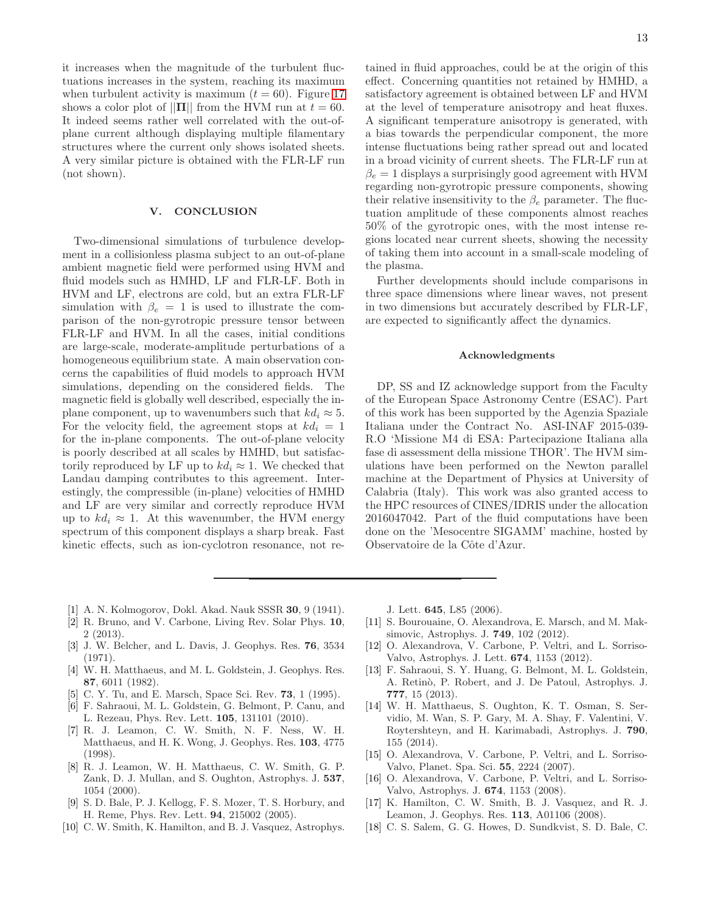it increases when the magnitude of the turbulent fluctuations increases in the system, reaching its maximum when turbulent activity is maximum  $(t = 60)$ . Figure [17](#page-11-3) shows a color plot of  $||\Pi||$  from the HVM run at  $t = 60$ . It indeed seems rather well correlated with the out-ofplane current although displaying multiple filamentary structures where the current only shows isolated sheets. A very similar picture is obtained with the FLR-LF run (not shown).

#### <span id="page-12-9"></span>V. CONCLUSION

Two-dimensional simulations of turbulence development in a collisionless plasma subject to an out-of-plane ambient magnetic field were performed using HVM and fluid models such as HMHD, LF and FLR-LF. Both in HVM and LF, electrons are cold, but an extra FLR-LF simulation with  $\beta_e = 1$  is used to illustrate the comparison of the non-gyrotropic pressure tensor between FLR-LF and HVM. In all the cases, initial conditions are large-scale, moderate-amplitude perturbations of a homogeneous equilibrium state. A main observation concerns the capabilities of fluid models to approach HVM simulations, depending on the considered fields. The magnetic field is globally well described, especially the inplane component, up to wavenumbers such that  $kd_i \approx 5$ . For the velocity field, the agreement stops at  $kd_i = 1$ for the in-plane components. The out-of-plane velocity is poorly described at all scales by HMHD, but satisfactorily reproduced by LF up to  $kd_i \approx 1$ . We checked that Landau damping contributes to this agreement. Interestingly, the compressible (in-plane) velocities of HMHD and LF are very similar and correctly reproduce HVM up to  $kd_i \approx 1$ . At this wavenumber, the HVM energy spectrum of this component displays a sharp break. Fast kinetic effects, such as ion-cyclotron resonance, not retained in fluid approaches, could be at the origin of this effect. Concerning quantities not retained by HMHD, a satisfactory agreement is obtained between LF and HVM at the level of temperature anisotropy and heat fluxes. A significant temperature anisotropy is generated, with a bias towards the perpendicular component, the more intense fluctuations being rather spread out and located in a broad vicinity of current sheets. The FLR-LF run at  $\beta_e = 1$  displays a surprisingly good agreement with HVM regarding non-gyrotropic pressure components, showing their relative insensitivity to the  $\beta_e$  parameter. The fluctuation amplitude of these components almost reaches 50% of the gyrotropic ones, with the most intense regions located near current sheets, showing the necessity of taking them into account in a small-scale modeling of the plasma.

Further developments should include comparisons in three space dimensions where linear waves, not present in two dimensions but accurately described by FLR-LF, are expected to significantly affect the dynamics.

#### Acknowledgments

DP, SS and IZ acknowledge support from the Faculty of the European Space Astronomy Centre (ESAC). Part of this work has been supported by the Agenzia Spaziale Italiana under the Contract No. ASI-INAF 2015-039- R.O 'Missione M4 di ESA: Partecipazione Italiana alla fase di assessment della missione THOR'. The HVM simulations have been performed on the Newton parallel machine at the Department of Physics at University of Calabria (Italy). This work was also granted access to the HPC resources of CINES/IDRIS under the allocation 2016047042. Part of the fluid computations have been done on the 'Mesocentre SIGAMM' machine, hosted by Observatoire de la Côte d'Azur.

- <span id="page-12-0"></span>[1] A. N. Kolmogorov, Dokl. Akad. Nauk SSSR 30, 9 (1941).
- <span id="page-12-1"></span>[2] R. Bruno, and V. Carbone, Living Rev. Solar Phys. 10, 2 (2013).
- <span id="page-12-2"></span>[3] J. W. Belcher, and L. Davis, J. Geophys. Res. 76, 3534 (1971).
- <span id="page-12-3"></span>[4] W. H. Matthaeus, and M. L. Goldstein, J. Geophys. Res. 87, 6011 (1982).
- <span id="page-12-4"></span>[5] C. Y. Tu, and E. Marsch, Space Sci. Rev. 73, 1 (1995).
- <span id="page-12-5"></span>[6] F. Sahraoui, M. L. Goldstein, G. Belmont, P. Canu, and L. Rezeau, Phys. Rev. Lett. 105, 131101 (2010).
- <span id="page-12-6"></span>[7] R. J. Leamon, C. W. Smith, N. F. Ness, W. H. Matthaeus, and H. K. Wong, J. Geophys. Res. 103, 4775 (1998).
- [8] R. J. Leamon, W. H. Matthaeus, C. W. Smith, G. P. Zank, D. J. Mullan, and S. Oughton, Astrophys. J. 537, 1054 (2000).
- [9] S. D. Bale, P. J. Kellogg, F. S. Mozer, T. S. Horbury, and H. Reme, Phys. Rev. Lett. 94, 215002 (2005).
- [10] C. W. Smith, K. Hamilton, and B. J. Vasquez, Astrophys.

J. Lett. 645, L85 (2006).

- [11] S. Bourouaine, O. Alexandrova, E. Marsch, and M. Maksimovic, Astrophys. J. 749, 102 (2012).
- [12] O. Alexandrova, V. Carbone, P. Veltri, and L. Sorriso-Valvo, Astrophys. J. Lett. 674, 1153 (2012).
- [13] F. Sahraoui, S. Y. Huang, G. Belmont, M. L. Goldstein, A. Retinò, P. Robert, and J. De Patoul, Astrophys. J. 777, 15 (2013).
- <span id="page-12-7"></span>[14] W. H. Matthaeus, S. Oughton, K. T. Osman, S. Servidio, M. Wan, S. P. Gary, M. A. Shay, F. Valentini, V. Roytershteyn, and H. Karimabadi, Astrophys. J. 790, 155 (2014).
- <span id="page-12-8"></span>[15] O. Alexandrova, V. Carbone, P. Veltri, and L. Sorriso-Valvo, Planet. Spa. Sci. 55, 2224 (2007).
- [16] O. Alexandrova, V. Carbone, P. Veltri, and L. Sorriso-Valvo, Astrophys. J. 674, 1153 (2008).
- [17] K. Hamilton, C. W. Smith, B. J. Vasquez, and R. J. Leamon, J. Geophys. Res. 113, A01106 (2008).
- [18] C. S. Salem, G. G. Howes, D. Sundkvist, S. D. Bale, C.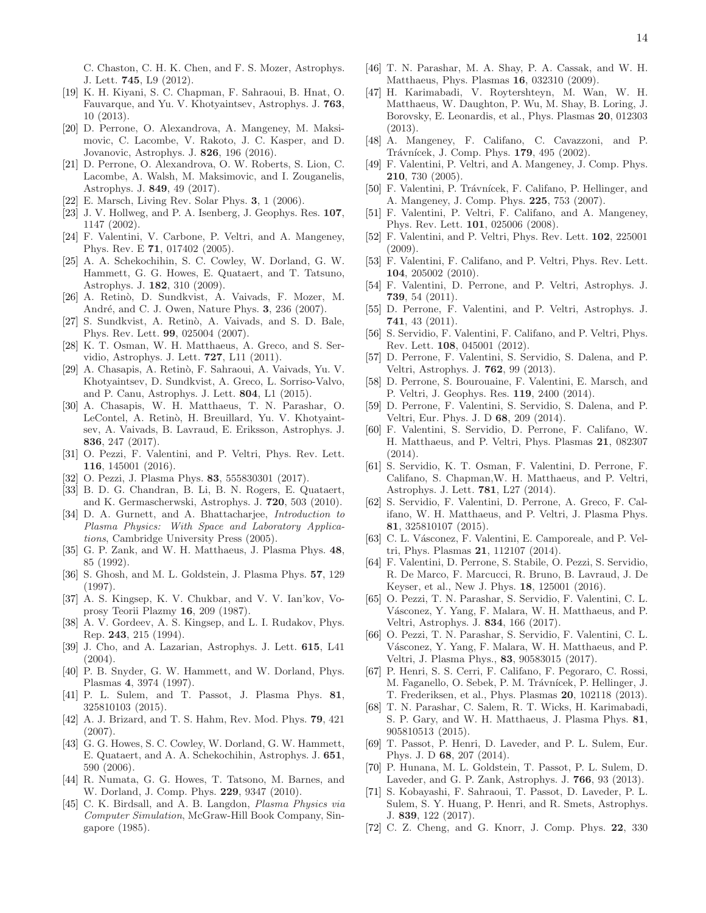C. Chaston, C. H. K. Chen, and F. S. Mozer, Astrophys. J. Lett. 745, L9 (2012).

- [19] K. H. Kiyani, S. C. Chapman, F. Sahraoui, B. Hnat, O. Fauvarque, and Yu. V. Khotyaintsev, Astrophys. J. 763, 10 (2013).
- [20] D. Perrone, O. Alexandrova, A. Mangeney, M. Maksimovic, C. Lacombe, V. Rakoto, J. C. Kasper, and D. Jovanovic, Astrophys. J. 826, 196 (2016).
- <span id="page-13-0"></span>[21] D. Perrone, O. Alexandrova, O. W. Roberts, S. Lion, C. Lacombe, A. Walsh, M. Maksimovic, and I. Zouganelis, Astrophys. J. 849, 49 (2017).
- <span id="page-13-1"></span>[22] E. Marsch, Living Rev. Solar Phys. 3, 1 (2006).
- <span id="page-13-2"></span>[23] J. V. Hollweg, and P. A. Isenberg, J. Geophys. Res. 107, 1147 (2002).
- <span id="page-13-3"></span>[24] F. Valentini, V. Carbone, P. Veltri, and A. Mangeney, Phys. Rev. E 71, 017402 (2005).
- <span id="page-13-4"></span>[25] A. A. Schekochihin, S. C. Cowley, W. Dorland, G. W. Hammett, G. G. Howes, E. Quataert, and T. Tatsuno, Astrophys. J. 182, 310 (2009).
- <span id="page-13-5"></span>[26] A. Retinò, D. Sundkvist, A. Vaivads, F. Mozer, M. André, and C. J. Owen, Nature Phys. **3**, 236 (2007).
- [27] S. Sundkvist, A. Retinò, A. Vaivads, and S. D. Bale, Phys. Rev. Lett. 99, 025004 (2007).
- [28] K. T. Osman, W. H. Matthaeus, A. Greco, and S. Servidio, Astrophys. J. Lett. 727, L11 (2011).
- [29] A. Chasapis, A. Retinò, F. Sahraoui, A. Vaivads, Yu. V. Khotyaintsev, D. Sundkvist, A. Greco, L. Sorriso-Valvo, and P. Canu, Astrophys. J. Lett. 804, L1 (2015).
- <span id="page-13-6"></span>[30] A. Chasapis, W. H. Matthaeus, T. N. Parashar, O. LeContel, A. Retinò, H. Breuillard, Yu. V. Khotyaintsev, A. Vaivads, B. Lavraud, E. Eriksson, Astrophys. J. 836, 247 (2017).
- <span id="page-13-7"></span>[31] O. Pezzi, F. Valentini, and P. Veltri, Phys. Rev. Lett. 116, 145001 (2016).
- <span id="page-13-8"></span>[32] O. Pezzi, J. Plasma Phys. 83, 555830301 (2017).
- <span id="page-13-9"></span>[33] B. D. G. Chandran, B. Li, B. N. Rogers, E. Quataert, and K. Germascherwski, Astrophys. J. 720, 503 (2010).
- <span id="page-13-10"></span>[34] D. A. Gurnett, and A. Bhattacharjee, *Introduction to Plasma Physics: With Space and Laboratory Applications*, Cambridge University Press (2005).
- <span id="page-13-11"></span>[35] G. P. Zank, and W. H. Matthaeus, J. Plasma Phys. 48, 85 (1992).
- <span id="page-13-12"></span>[36] S. Ghosh, and M. L. Goldstein, J. Plasma Phys. 57, 129 (1997).
- <span id="page-13-13"></span>[37] A. S. Kingsep, K. V. Chukbar, and V. V. Ian'kov, Voprosy Teorii Plazmy 16, 209 (1987).
- [38] A. V. Gordeev, A. S. Kingsep, and L. I. Rudakov, Phys. Rep. 243, 215 (1994).
- <span id="page-13-14"></span>[39] J. Cho, and A. Lazarian, Astrophys. J. Lett. 615, L41  $(2004).$
- <span id="page-13-15"></span>[40] P. B. Snyder, G. W. Hammett, and W. Dorland, Phys. Plasmas 4, 3974 (1997).
- <span id="page-13-16"></span>[41] P. L. Sulem, and T. Passot, J. Plasma Phys. 81, 325810103 (2015).
- <span id="page-13-17"></span>[42] A. J. Brizard, and T. S. Hahm, Rev. Mod. Phys. 79, 421 (2007).
- [43] G. G. Howes, S. C. Cowley, W. Dorland, G. W. Hammett, E. Quataert, and A. A. Schekochihin, Astrophys. J. 651, 590 (2006).
- <span id="page-13-18"></span>[44] R. Numata, G. G. Howes, T. Tatsono, M. Barnes, and W. Dorland, J. Comp. Phys. 229, 9347 (2010).
- <span id="page-13-19"></span>[45] C. K. Birdsall, and A. B. Langdon, *Plasma Physics via Computer Simulation*, McGraw-Hill Book Company, Singapore (1985).
- <span id="page-13-20"></span>[46] T. N. Parashar, M. A. Shay, P. A. Cassak, and W. H. Matthaeus, Phys. Plasmas 16, 032310 (2009).
- <span id="page-13-21"></span>[47] H. Karimabadi, V. Roytershteyn, M. Wan, W. H. Matthaeus, W. Daughton, P. Wu, M. Shay, B. Loring, J. Borovsky, E. Leonardis, et al., Phys. Plasmas 20, 012303 (2013).
- <span id="page-13-22"></span>[48] A. Mangeney, F. Califano, C. Cavazzoni, and P. Trávnícek, J. Comp. Phys. 179, 495 (2002).
- [49] F. Valentini, P. Veltri, and A. Mangeney, J. Comp. Phys. 210, 730 (2005).
- <span id="page-13-23"></span>[50] F. Valentini, P. Trávnícek, F. Califano, P. Hellinger, and A. Mangeney, J. Comp. Phys. 225, 753 (2007).
- <span id="page-13-24"></span>[51] F. Valentini, P. Veltri, F. Califano, and A. Mangeney, Phys. Rev. Lett. 101, 025006 (2008).
- [52] F. Valentini, and P. Veltri, Phys. Rev. Lett. 102, 225001 (2009).
- [53] F. Valentini, F. Califano, and P. Veltri, Phys. Rev. Lett. 104, 205002 (2010).
- [54] F. Valentini, D. Perrone, and P. Veltri, Astrophys. J. 739, 54 (2011).
- [55] D. Perrone, F. Valentini, and P. Veltri, Astrophys. J. 741, 43 (2011).
- <span id="page-13-32"></span>[56] S. Servidio, F. Valentini, F. Califano, and P. Veltri, Phys. Rev. Lett. 108, 045001 (2012).
- [57] D. Perrone, F. Valentini, S. Servidio, S. Dalena, and P. Veltri, Astrophys. J. 762, 99 (2013).
- [58] D. Perrone, S. Bourouaine, F. Valentini, E. Marsch, and P. Veltri, J. Geophys. Res. 119, 2400 (2014).
- [59] D. Perrone, F. Valentini, S. Servidio, S. Dalena, and P. Veltri, Eur. Phys. J. D 68, 209 (2014).
- [60] F. Valentini, S. Servidio, D. Perrone, F. Califano, W. H. Matthaeus, and P. Veltri, Phys. Plasmas 21, 082307  $(2014)$ .
- [61] S. Servidio, K. T. Osman, F. Valentini, D. Perrone, F. Califano, S. Chapman,W. H. Matthaeus, and P. Veltri, Astrophys. J. Lett. 781, L27 (2014).
- [62] S. Servidio, F. Valentini, D. Perrone, A. Greco, F. Califano, W. H. Matthaeus, and P. Veltri, J. Plasma Phys. 81, 325810107 (2015).
- [63] C. L. Vásconez, F. Valentini, E. Camporeale, and P. Veltri, Phys. Plasmas 21, 112107 (2014).
- <span id="page-13-33"></span>[64] F. Valentini, D. Perrone, S. Stabile, O. Pezzi, S. Servidio, R. De Marco, F. Marcucci, R. Bruno, B. Lavraud, J. De Keyser, et al., New J. Phys. 18, 125001 (2016).
- [65] O. Pezzi, T. N. Parashar, S. Servidio, F. Valentini, C. L. Vásconez, Y. Yang, F. Malara, W. H. Matthaeus, and P. Veltri, Astrophys. J. 834, 166 (2017).
- <span id="page-13-25"></span>[66] O. Pezzi, T. N. Parashar, S. Servidio, F. Valentini, C. L. Vásconez, Y. Yang, F. Malara, W. H. Matthaeus, and P. Veltri, J. Plasma Phys., 83, 90583015 (2017).
- <span id="page-13-26"></span>[67] P. Henri, S. S. Cerri, F. Califano, F. Pegoraro, C. Rossi, M. Faganello, O. Sebek, P. M. Trávnícek, P. Hellinger, J. T. Frederiksen, et al., Phys. Plasmas 20, 102118 (2013).
- <span id="page-13-27"></span>[68] T. N. Parashar, C. Salem, R. T. Wicks, H. Karimabadi, S. P. Gary, and W. H. Matthaeus, J. Plasma Phys. 81, 905810513 (2015).
- <span id="page-13-28"></span>[69] T. Passot, P. Henri, D. Laveder, and P. L. Sulem, Eur. Phys. J. D 68, 207 (2014).
- <span id="page-13-29"></span>[70] P. Hunana, M. L. Goldstein, T. Passot, P. L. Sulem, D. Laveder, and G. P. Zank, Astrophys. J. 766, 93 (2013).
- <span id="page-13-30"></span>[71] S. Kobayashi, F. Sahraoui, T. Passot, D. Laveder, P. L. Sulem, S. Y. Huang, P. Henri, and R. Smets, Astrophys. J. 839, 122 (2017).
- <span id="page-13-31"></span>[72] C. Z. Cheng, and G. Knorr, J. Comp. Phys. 22, 330